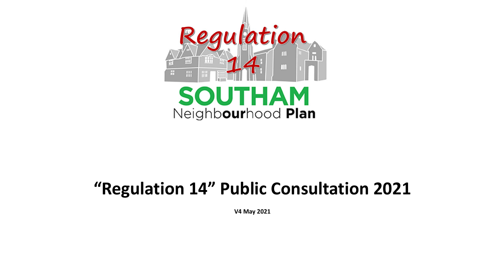

# **"Regulation 14" Public Consultation 2021**

**V4 May 2021**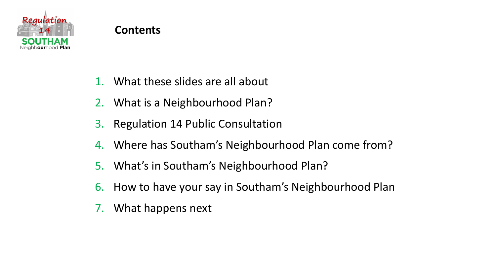

- 1. What these slides are all about
- 2. What is a Neighbourhood Plan?
- 3. Regulation 14 Public Consultation
- 4. Where has Southam's Neighbourhood Plan come from?
- 5. What's in Southam's Neighbourhood Plan?
- 6. How to have your say in Southam's Neighbourhood Plan
- 7. What happens next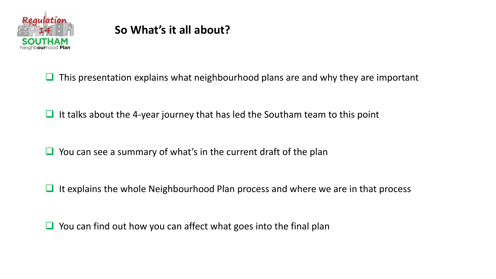

# **So What's it all about?**

 $\Box$  This presentation explains what neighbourhood plans are and why they are important

 $\Box$  It talks about the 4-year journey that has led the Southam team to this point

 $\Box$  You can see a summary of what's in the current draft of the plan

 $\Box$  It explains the whole Neighbourhood Plan process and where we are in that process

 $\Box$  You can find out how you can affect what goes into the final plan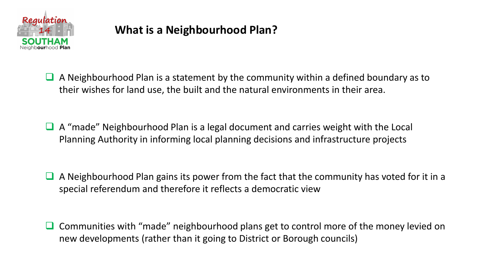

# **What is a Neighbourhood Plan?**

 $\Box$  A Neighbourhood Plan is a statement by the community within a defined boundary as to their wishes for land use, the built and the natural environments in their area.

- ❑ A "made" Neighbourhood Plan is a legal document and carries weight with the Local Planning Authority in informing local planning decisions and infrastructure projects
- ❑ A Neighbourhood Plan gains its power from the fact that the community has voted for it in a special referendum and therefore it reflects a democratic view
- Communities with "made" neighbourhood plans get to control more of the money levied on new developments (rather than it going to District or Borough councils)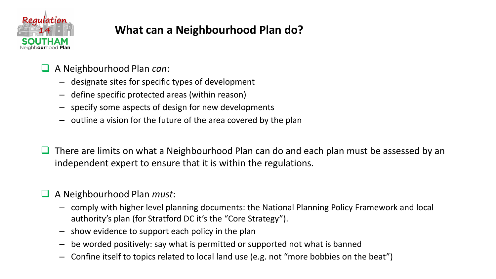

# **What can a Neighbourhood Plan do?**

- ❑ A Neighbourhood Plan *can*:
	- designate sites for specific types of development
	- define specific protected areas (within reason)
	- specify some aspects of design for new developments
	- outline a vision for the future of the area covered by the plan
- There are limits on what a Neighbourhood Plan can do and each plan must be assessed by an independent expert to ensure that it is within the regulations.

### ❑ A Neighbourhood Plan *must*:

- comply with higher level planning documents: the National Planning Policy Framework and local authority's plan (for Stratford DC it's the "Core Strategy").
- show evidence to support each policy in the plan
- be worded positively: say what is permitted or supported not what is banned
- Confine itself to topics related to local land use (e.g. not "more bobbies on the beat")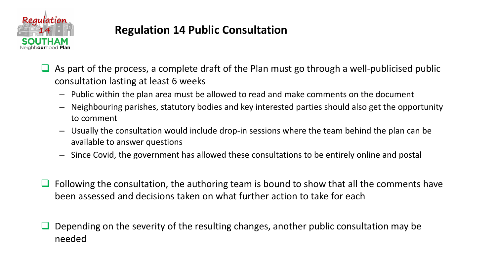

### **Regulation 14 Public Consultation**

- As part of the process, a complete draft of the Plan must go through a well-publicised public consultation lasting at least 6 weeks
	- Public within the plan area must be allowed to read and make comments on the document
	- Neighbouring parishes, statutory bodies and key interested parties should also get the opportunity to comment
	- Usually the consultation would include drop-in sessions where the team behind the plan can be available to answer questions
	- Since Covid, the government has allowed these consultations to be entirely online and postal
- Following the consultation, the authoring team is bound to show that all the comments have been assessed and decisions taken on what further action to take for each
- ❑ Depending on the severity of the resulting changes, another public consultation may be needed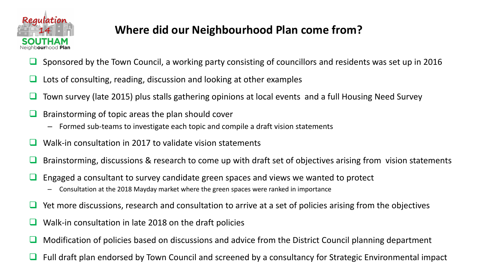

# **Where did our Neighbourhood Plan come from?**

- ❑ Sponsored by the Town Council, a working party consisting of councillors and residents was set up in 2016
- ❑ Lots of consulting, reading, discussion and looking at other examples
- Town survey (late 2015) plus stalls gathering opinions at local events and a full Housing Need Survey
- ❑ Brainstorming of topic areas the plan should cover
	- Formed sub-teams to investigate each topic and compile a draft vision statements
- Walk-in consultation in 2017 to validate vision statements
- ❑ Brainstorming, discussions & research to come up with draft set of objectives arising from vision statements
- $\Box$  Engaged a consultant to survey candidate green spaces and views we wanted to protect
	- Consultation at the 2018 Mayday market where the green spaces were ranked in importance
- ❑ Yet more discussions, research and consultation to arrive at a set of policies arising from the objectives
- Walk-in consultation in late 2018 on the draft policies
- ❑ Modification of policies based on discussions and advice from the District Council planning department
- Full draft plan endorsed by Town Council and screened by a consultancy for Strategic Environmental impact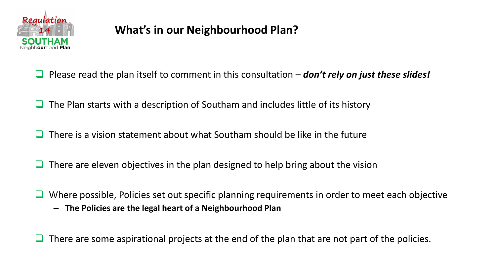

# **What's in our Neighbourhood Plan?**

- ❑ Please read the plan itself to comment in this consultation *don't rely on just these slides!*
- ❑ The Plan starts with a description of Southam and includes little of its history
- ❑ There is a vision statement about what Southam should be like in the future
- $\Box$  There are eleven objectives in the plan designed to help bring about the vision
- ❑ Where possible, Policies set out specific planning requirements in order to meet each objective
	- **The Policies are the legal heart of a Neighbourhood Plan**

 $\Box$  There are some aspirational projects at the end of the plan that are not part of the policies.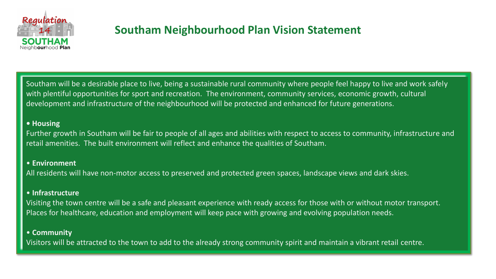

### **Southam Neighbourhood Plan Vision Statement**

Southam will be a desirable place to live, being a sustainable rural community where people feel happy to live and work safely with plentiful opportunities for sport and recreation. The environment, community services, economic growth, cultural development and infrastructure of the neighbourhood will be protected and enhanced for future generations.

#### **• Housing**

Further growth in Southam will be fair to people of all ages and abilities with respect to access to community, infrastructure and retail amenities. The built environment will reflect and enhance the qualities of Southam.

#### • **Environment**

All residents will have non-motor access to preserved and protected green spaces, landscape views and dark skies.

#### • **Infrastructure**

Visiting the town centre will be a safe and pleasant experience with ready access for those with or without motor transport. Places for healthcare, education and employment will keep pace with growing and evolving population needs.

#### • **Community**

Visitors will be attracted to the town to add to the already strong community spirit and maintain a vibrant retail centre.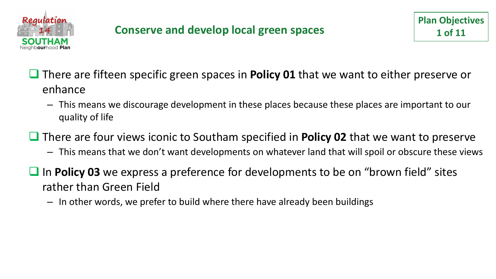

- ❑ There are fifteen specific green spaces in **Policy 01** that we want to either preserve or enhance
	- This means we discourage development in these places because these places are important to our quality of life
- ❑ There are four views iconic to Southam specified in **Policy 02** that we want to preserve
	- This means that we don't want developments on whatever land that will spoil or obscure these views
- In **Policy 03** we express a preference for developments to be on "brown field" sites rather than Green Field
	- In other words, we prefer to build where there have already been buildings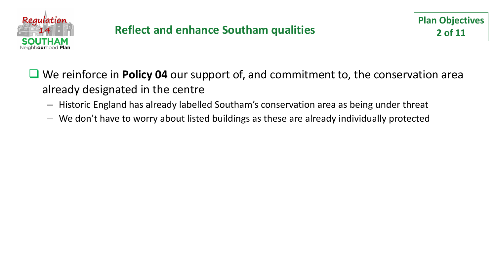

### **Reflect and enhance Southam qualities**

- We reinforce in **Policy 04** our support of, and commitment to, the conservation area already designated in the centre
	- Historic England has already labelled Southam's conservation area as being under threat
	- We don't have to worry about listed buildings as these are already individually protected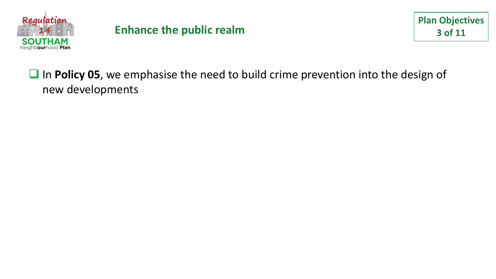

### **Enhance the public realm**

# ■ In **Policy 05**, we emphasise the need to build crime prevention into the design of new developments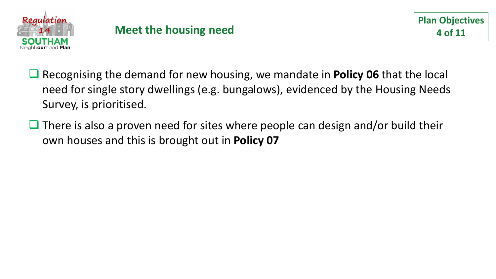

- ❑ Recognising the demand for new housing, we mandate in **Policy 06** that the local need for single story dwellings (e.g. bungalows), evidenced by the Housing Needs Survey, is prioritised.
- $\Box$  There is also a proven need for sites where people can design and/or build their own houses and this is brought out in **Policy 07**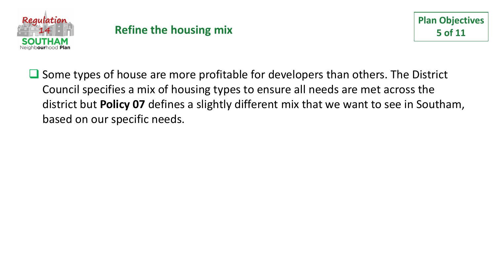

### **Refine the housing mix**

❑ Some types of house are more profitable for developers than others. The District Council specifies a mix of housing types to ensure all needs are met across the district but **Policy 07** defines a slightly different mix that we want to see in Southam, based on our specific needs.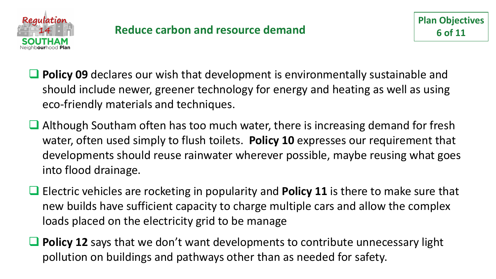

- ❑ **Policy 09** declares our wish that development is environmentally sustainable and should include newer, greener technology for energy and heating as well as using eco-friendly materials and techniques.
- Although Southam often has too much water, there is increasing demand for fresh water, often used simply to flush toilets. **Policy 10** expresses our requirement that developments should reuse rainwater wherever possible, maybe reusing what goes into flood drainage.
- ❑ Electric vehicles are rocketing in popularity and **Policy 11** is there to make sure that new builds have sufficient capacity to charge multiple cars and allow the complex loads placed on the electricity grid to be manage
- **Policy 12** says that we don't want developments to contribute unnecessary light pollution on buildings and pathways other than as needed for safety.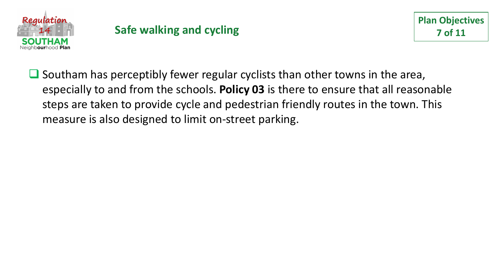

# **Safe walking and cycling**

■ Southam has perceptibly fewer regular cyclists than other towns in the area, especially to and from the schools. **Policy 03** is there to ensure that all reasonable steps are taken to provide cycle and pedestrian friendly routes in the town. This measure is also designed to limit on-street parking.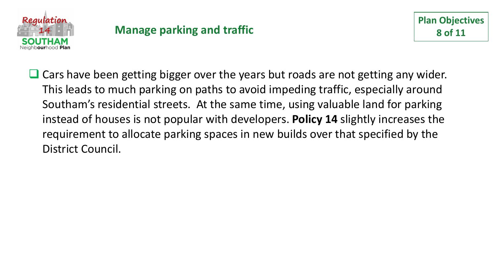

■ Cars have been getting bigger over the years but roads are not getting any wider. This leads to much parking on paths to avoid impeding traffic, especially around Southam's residential streets. At the same time, using valuable land for parking instead of houses is not popular with developers. **Policy 14** slightly increases the requirement to allocate parking spaces in new builds over that specified by the District Council.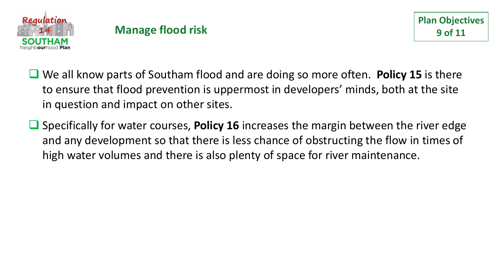

### **Manage flood risk**

- ❑ We all know parts of Southam flood and are doing so more often. **Policy 15** is there to ensure that flood prevention is uppermost in developers' minds, both at the site in question and impact on other sites.
- ❑ Specifically for water courses, **Policy 16** increases the margin between the river edge and any development so that there is less chance of obstructing the flow in times of high water volumes and there is also plenty of space for river maintenance.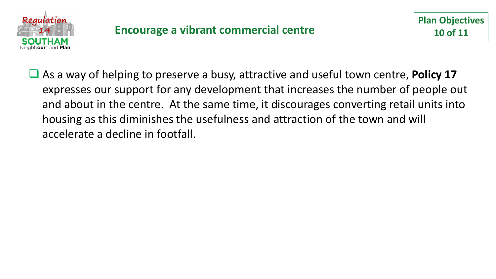

❑ As a way of helping to preserve a busy, attractive and useful town centre, **Policy 17** expresses our support for any development that increases the number of people out and about in the centre. At the same time, it discourages converting retail units into housing as this diminishes the usefulness and attraction of the town and will accelerate a decline in footfall.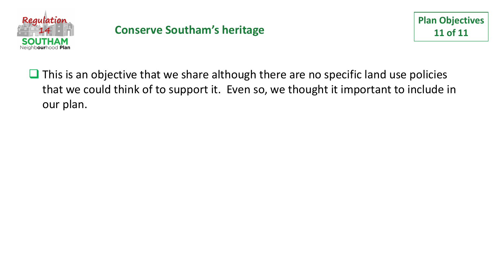

### **Conserve Southam's heritage**

■ This is an objective that we share although there are no specific land use policies that we could think of to support it. Even so, we thought it important to include in our plan.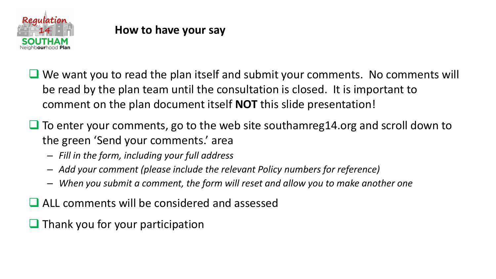

### **How to have your say**

- We want you to read the plan itself and submit your comments. No comments will be read by the plan team until the consultation is closed. It is important to comment on the plan document itself **NOT** this slide presentation!
- To enter your comments, go to the web site southamreg14.org and scroll down to the green 'Send your comments.' area
	- *Fill in the form, including your full address*
	- *Add your comment (please include the relevant Policy numbers for reference)*
	- *When you submit a comment, the form will reset and allow you to make another one*
- ❑ ALL comments will be considered and assessed
- $\Box$  Thank you for your participation